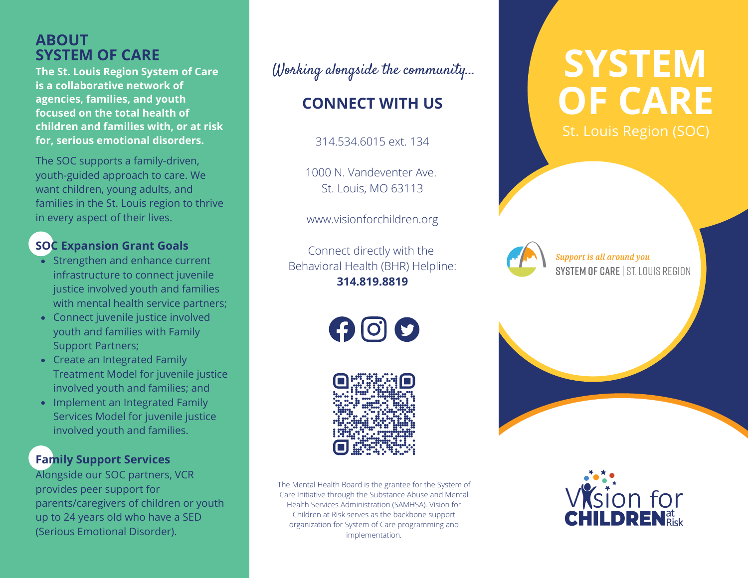# **ABOUT<br>SYSTEM OF CARE**

**The St. Louis Region System of Care is a collaborative network of agencies, families, and youth focused on the total health of children and families with, or at risk for, serious emotional disorders.**

The SOC supports a family-driven, youth-guided approach to care. We want children, young adults, and families in the St. Louis region to thrive in every aspect of their lives.

#### **SOC Expansion Grant Goals**

- Strengthen and enhance current infrastructure to connect juvenile justice involved youth and families with mental health service partners;
- Connect juvenile justice involved youth and families with Family Support Partners;
- Create an Integrated Family Treatment Model for juvenile justice involved youth and families; and
- Implement an Integrated Family Services Model for juvenile justice involved youth and families.

### **Family Support Services**

Alongside our SOC partners, VCR provides peer support for parents/caregivers of children or youth up to 24 years old who have a SED (Serious Emotional Disorder).

Working alongside the community...

## **CONNECT WITH US**

314.534.6015 ext. 134

1000 N. Vandeventer Ave. St. Louis, MO 63113

www.visionforchildren.org

Connect directly with the Behavioral Health (BHR) Helpline: **314.819.8819**

 $\boldsymbol{\Theta}$  $\boldsymbol{\Theta}$  $\boldsymbol{\Omega}$ 



The Mental Health Board is the grantee for the System of Care Initiative through the Substance Abuse and Mental Health Services Administration (SAMHSA). Vision for Children at Risk serves as the backbone support organization for System of Care programming and implementation.

# $S<sup>Y</sup>STEM$ **OF CARE** St. Louis Region (SOC)



Support is all around you SYSTEM OF CARE | ST. LOUIS REGION